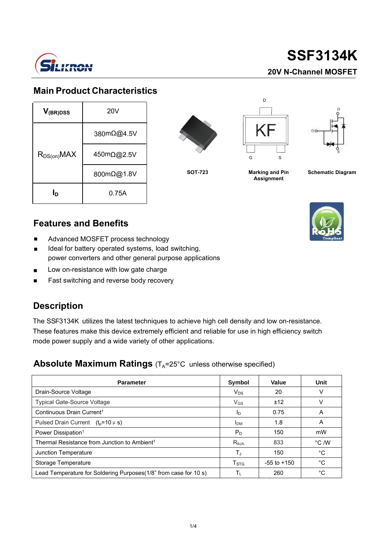

#### **Main Product Characteristics**

| $V_{(BR)DSS}$    | 20V        |  |  |
|------------------|------------|--|--|
| $R_{DS(on)}$ MAX | 380mΩ@4.5V |  |  |
|                  | 450mΩ@2.5V |  |  |
|                  | 800mΩ@1.8V |  |  |
| Iр               | 0.75A      |  |  |





**Marking and Pin Assignment**



**SOT-723 Schematic Diagram**

#### **Features and Benefits**

- п Advanced MOSFET process technology
- É Ideal for battery operated systems, load switching, power converters and other general purpose applications
- Ξ Low on-resistance with low gate charge
- Ξ Fast switching and reverse body recovery

#### **Description**

The SSF3134K utilizes the latest techniques to achieve high cell density and low on-resistance. These features make this device extremely efficient and reliable for use in high efficiency switch mode power supply and a wide variety of other applications.

#### **Absolute Maximum Ratings** (T<sub>A</sub>=25°C unless otherwise specified)

| <b>Parameter</b>                                                 | Symbol           | Value           | Unit           |
|------------------------------------------------------------------|------------------|-----------------|----------------|
| Drain-Source Voltage                                             | $V_{DS}$         | 20              | v              |
| <b>Typical Gate-Source Voltage</b>                               | $V_{GS}$         | ±12             | v              |
| Continuous Drain Current <sup>1</sup>                            | In.              | 0.75            | A              |
| Pulsed Drain Current $(t_0=10 \mu s)$                            | <b>IDM</b>       | 1.8             | A              |
| Power Dissipation <sup>1</sup>                                   | $P_D$            | 150             | mW             |
| Thermal Resistance from Junction to Ambient <sup>1</sup>         | $R_{0,IA}$       | 833             | $\degree$ C /W |
| Junction Temperature                                             | Tu               | 150             | °C             |
| Storage Temperature                                              | T <sub>STG</sub> | $-55$ to $+150$ | °C             |
| Lead Temperature for Soldering Purposes(1/8" from case for 10 s) |                  | 260             | °C             |

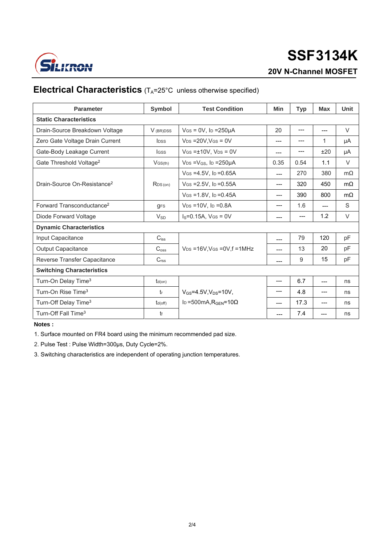

# **3134K SSF**

#### **20V N-Channel MOSFET**

#### **Electrical Characteristics** (T<sub>A</sub>=25°C unless otherwise specified)

| <b>Parameter</b>                        | <b>Symbol</b>           | <b>Test Condition</b>                                | Min   | <b>Typ</b> | Max   | <b>Unit</b> |  |  |
|-----------------------------------------|-------------------------|------------------------------------------------------|-------|------------|-------|-------------|--|--|
| <b>Static Characteristics</b>           |                         |                                                      |       |            |       |             |  |  |
| Drain-Source Breakdown Voltage          | V (BR)DSS               | $V$ GS = 0V, lp = 250 $\mu$ A<br>20                  |       | $---$      | ---   | V           |  |  |
| Zero Gate Voltage Drain Current         | <b>I</b> <sub>pss</sub> | $V_{DS}$ = 20V, V <sub>GS</sub> = 0V                 |       | ---        | 1     | μA          |  |  |
| Gate-Body Leakage Current               | <b>I</b> GSS            | $V$ GS = $\pm$ 10V, V <sub>DS</sub> = 0V             |       | ---        | ±20   | μA          |  |  |
| Gate Threshold Voltage <sup>2</sup>     | $V$ GS $(th)$           | $V_{DS} = V_{GS}$ , lp = 250 µ A                     | 0.35  | 0.54       | 1.1   | $\vee$      |  |  |
| Drain-Source On-Resistance <sup>2</sup> | RDS(on)                 | $V$ GS = 4.5V, ID = 0.65A                            | $---$ | 270        | 380   | $m\Omega$   |  |  |
|                                         |                         | $V$ GS = 2.5V, ID = 0.55A                            | $---$ | 320        | 450   | $m\Omega$   |  |  |
|                                         |                         | $V$ GS = 1.8V, Ip = 0.45A                            | ---   | 390        | 800   | $m\Omega$   |  |  |
| Forward Transconductance <sup>2</sup>   | <b>gFS</b>              | $V_{DS} = 10V$ , lp = 0.8A                           | ---   | 1.6        | $---$ | S           |  |  |
| Diode Forward Voltage                   | $V_{SD}$                | $I_S = 0.15A$ , $V_{GS} = 0V$                        | ---   | $---$      | 1.2   | $\vee$      |  |  |
| <b>Dynamic Characteristics</b>          |                         |                                                      |       |            |       |             |  |  |
| Input Capacitance                       | $C_{iss}$               |                                                      | ---   | 79         | 120   | pF          |  |  |
| <b>Output Capacitance</b>               | C <sub>oss</sub>        | $V_{DS}$ =16V, V <sub>GS</sub> = 0V, f = 1MHz        | ---   | 13         | 20    | pF          |  |  |
| Reverse Transfer Capacitance            | C <sub>rss</sub>        |                                                      | ---   | 9          | 15    | pF          |  |  |
| <b>Switching Characteristics</b>        |                         |                                                      |       |            |       |             |  |  |
| Turn-On Delay Time <sup>3</sup>         | $t_{d(on)}$             |                                                      | ---   | 6.7        | $---$ | ns          |  |  |
| Turn-On Rise Time <sup>3</sup>          | $t_{r}$                 | $V_{GS} = 4.5V, V_{DS} = 10V,$                       | ---   | 4.8        | $---$ | ns          |  |  |
| Turn-Off Delay Time <sup>3</sup>        | $t_{d(off)}$            | I <sub>D</sub> =500mA, R <sub>GFN</sub> =10 $\Omega$ | ---   | 17.3       | $---$ | ns          |  |  |
| Turn-Off Fall Time <sup>3</sup>         | tf                      |                                                      | ---   | 7.4        | ---   | ns          |  |  |

#### **Notes :**

1. Surface mounted on FR4 board using the minimum recommended pad size.

2. Pulse Test : Pulse Width=300µs, Duty Cycle=2%.

3. Switching characteristics are independent of operating junction temperatures.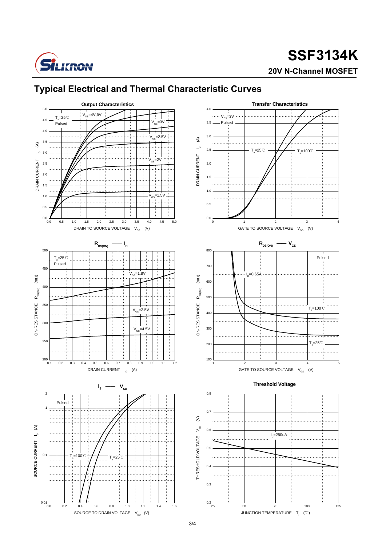

## **3134K SSF20V N-Channel MOSFET**



#### **Typical Electrical and Thermal Characteristic Curves**